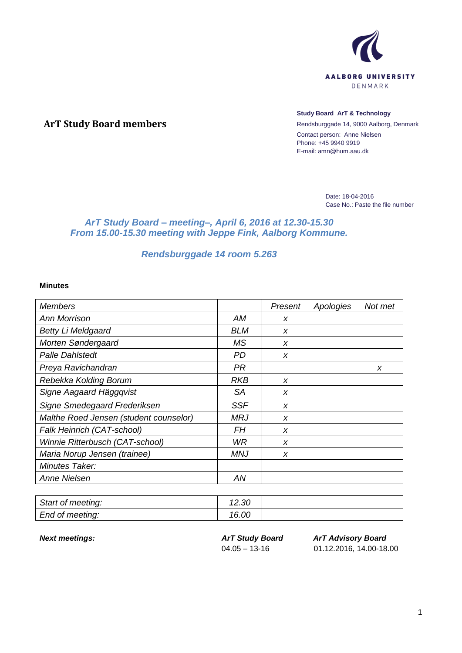

# **ArT Study Board members**

#### **Study Board ArT & Technology**

Rendsburggade 14, 9000 Aalborg, Denmark Contact person: Anne Nielsen Phone: +45 9940 9919 E-mail: amn@hum.aau.dk

> Date: 18-04-2016 Case No.: Paste the file number

# *ArT Study Board – meeting–, April 6, 2016 at 12.30-15.30 From 15.00-15.30 meeting with Jeppe Fink, Aalborg Kommune.*

# *Rendsburggade 14 room 5.263*

#### **Minutes**

| <b>Members</b>                         |            | Present | Apologies | Not met |
|----------------------------------------|------------|---------|-----------|---------|
| Ann Morrison                           | АM         | X       |           |         |
| <b>Betty Li Meldgaard</b>              | BLM        | x       |           |         |
| Morten Søndergaard                     | МS         | X       |           |         |
| <b>Palle Dahlstedt</b>                 | <b>PD</b>  | X       |           |         |
| Preya Ravichandran                     | PR         |         |           | X       |
| Rebekka Kolding Borum                  | RKB        | X       |           |         |
| Signe Aagaard Häggqvist                | SА         | X       |           |         |
| Signe Smedegaard Frederiksen           | <b>SSF</b> | X       |           |         |
| Malthe Roed Jensen (student counselor) | <b>MRJ</b> | X       |           |         |
| Falk Heinrich (CAT-school)             | <b>FH</b>  | X       |           |         |
| Winnie Ritterbusch (CAT-school)        | WR         | X       |           |         |
| Maria Norup Jensen (trainee)           | MNJ        | x       |           |         |
| Minutes Taker:                         |            |         |           |         |
| <b>Anne Nielsen</b>                    | AN         |         |           |         |

| Start of meeting: | 12.30<br>$\overline{A}$ |  |  |
|-------------------|-------------------------|--|--|
| End of meeting:   | 16.00                   |  |  |

*Next meetings: ArT Study Board*  $04.05 - 13 - 16$ 

*ArT Advisory Board* 01.12.2016, 14.00-18.00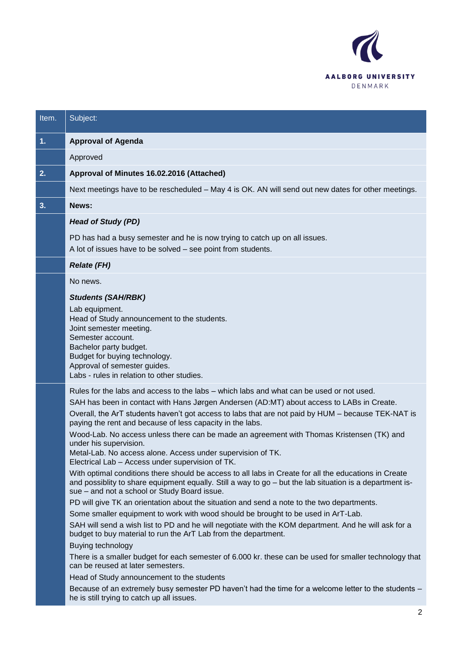

| Subject:                                                                                                                                                                                                                                                                                                                                                                                                                                                                                                                                                                                                                                                                                                                                                                                                                                                                                                                                                                                                                                                                                                                                                                                                                                                                                                                                                                                                                                                                                                                                                                                                     |
|--------------------------------------------------------------------------------------------------------------------------------------------------------------------------------------------------------------------------------------------------------------------------------------------------------------------------------------------------------------------------------------------------------------------------------------------------------------------------------------------------------------------------------------------------------------------------------------------------------------------------------------------------------------------------------------------------------------------------------------------------------------------------------------------------------------------------------------------------------------------------------------------------------------------------------------------------------------------------------------------------------------------------------------------------------------------------------------------------------------------------------------------------------------------------------------------------------------------------------------------------------------------------------------------------------------------------------------------------------------------------------------------------------------------------------------------------------------------------------------------------------------------------------------------------------------------------------------------------------------|
| <b>Approval of Agenda</b>                                                                                                                                                                                                                                                                                                                                                                                                                                                                                                                                                                                                                                                                                                                                                                                                                                                                                                                                                                                                                                                                                                                                                                                                                                                                                                                                                                                                                                                                                                                                                                                    |
| Approved                                                                                                                                                                                                                                                                                                                                                                                                                                                                                                                                                                                                                                                                                                                                                                                                                                                                                                                                                                                                                                                                                                                                                                                                                                                                                                                                                                                                                                                                                                                                                                                                     |
| Approval of Minutes 16.02.2016 (Attached)                                                                                                                                                                                                                                                                                                                                                                                                                                                                                                                                                                                                                                                                                                                                                                                                                                                                                                                                                                                                                                                                                                                                                                                                                                                                                                                                                                                                                                                                                                                                                                    |
| Next meetings have to be rescheduled - May 4 is OK. AN will send out new dates for other meetings.                                                                                                                                                                                                                                                                                                                                                                                                                                                                                                                                                                                                                                                                                                                                                                                                                                                                                                                                                                                                                                                                                                                                                                                                                                                                                                                                                                                                                                                                                                           |
| News:                                                                                                                                                                                                                                                                                                                                                                                                                                                                                                                                                                                                                                                                                                                                                                                                                                                                                                                                                                                                                                                                                                                                                                                                                                                                                                                                                                                                                                                                                                                                                                                                        |
| <b>Head of Study (PD)</b>                                                                                                                                                                                                                                                                                                                                                                                                                                                                                                                                                                                                                                                                                                                                                                                                                                                                                                                                                                                                                                                                                                                                                                                                                                                                                                                                                                                                                                                                                                                                                                                    |
| PD has had a busy semester and he is now trying to catch up on all issues.<br>A lot of issues have to be solved – see point from students.                                                                                                                                                                                                                                                                                                                                                                                                                                                                                                                                                                                                                                                                                                                                                                                                                                                                                                                                                                                                                                                                                                                                                                                                                                                                                                                                                                                                                                                                   |
| <b>Relate (FH)</b>                                                                                                                                                                                                                                                                                                                                                                                                                                                                                                                                                                                                                                                                                                                                                                                                                                                                                                                                                                                                                                                                                                                                                                                                                                                                                                                                                                                                                                                                                                                                                                                           |
| No news.                                                                                                                                                                                                                                                                                                                                                                                                                                                                                                                                                                                                                                                                                                                                                                                                                                                                                                                                                                                                                                                                                                                                                                                                                                                                                                                                                                                                                                                                                                                                                                                                     |
| <b>Students (SAH/RBK)</b><br>Lab equipment.<br>Head of Study announcement to the students.<br>Joint semester meeting.<br>Semester account.<br>Bachelor party budget.<br>Budget for buying technology.<br>Approval of semester guides.<br>Labs - rules in relation to other studies.                                                                                                                                                                                                                                                                                                                                                                                                                                                                                                                                                                                                                                                                                                                                                                                                                                                                                                                                                                                                                                                                                                                                                                                                                                                                                                                          |
| Rules for the labs and access to the labs – which labs and what can be used or not used.<br>SAH has been in contact with Hans Jørgen Andersen (AD:MT) about access to LABs in Create.<br>Overall, the ArT students haven't got access to labs that are not paid by HUM - because TEK-NAT is<br>paying the rent and because of less capacity in the labs.<br>Wood-Lab. No access unless there can be made an agreement with Thomas Kristensen (TK) and<br>under his supervision.<br>Metal-Lab. No access alone. Access under supervision of TK.<br>Electrical Lab - Access under supervision of TK.<br>With optimal conditions there should be access to all labs in Create for all the educations in Create<br>and possiblity to share equipment equally. Still a way to go - but the lab situation is a department is-<br>sue - and not a school or Study Board issue.<br>PD will give TK an orientation about the situation and send a note to the two departments.<br>Some smaller equipment to work with wood should be brought to be used in ArT-Lab.<br>SAH will send a wish list to PD and he will negotiate with the KOM department. And he will ask for a<br>budget to buy material to run the ArT Lab from the department.<br>Buying technology<br>There is a smaller budget for each semester of 6.000 kr. these can be used for smaller technology that<br>can be reused at later semesters.<br>Head of Study announcement to the students<br>Because of an extremely busy semester PD haven't had the time for a welcome letter to the students -<br>he is still trying to catch up all issues. |
|                                                                                                                                                                                                                                                                                                                                                                                                                                                                                                                                                                                                                                                                                                                                                                                                                                                                                                                                                                                                                                                                                                                                                                                                                                                                                                                                                                                                                                                                                                                                                                                                              |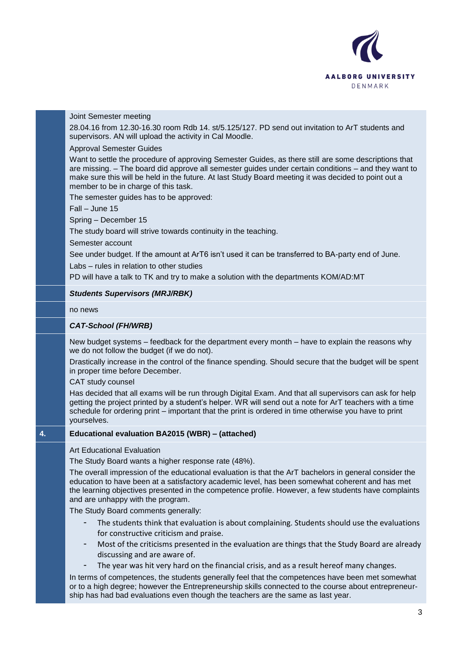

## Joint Semester meeting

28.04.16 from 12.30-16.30 room Rdb 14. st/5.125/127. PD send out invitation to ArT students and supervisors. AN will upload the activity in Cal Moodle.

#### - Approval Semester Guides

Want to settle the procedure of approving Semester Guides, as there still are some descriptions that are missing. – The board did approve all semester guides under certain conditions – and they want to make sure this will be held in the future. At last Study Board meeting it was decided to point out a member to be in charge of this task.

The semester quides has to be approved:

Fall – June 15

Spring – December 15

The study board will strive towards continuity in the teaching.

Semester account

See under budget. If the amount at ArT6 isn't used it can be transferred to BA-party end of June.

Labs – rules in relation to other studies

PD will have a talk to TK and try to make a solution with the departments KOM/AD:MT

## *Students Supervisors (MRJ/RBK)*

no news

#### *CAT-School (FH/WRB)*

New budget systems – feedback for the department every month – have to explain the reasons why we do not follow the budget (if we do not).

Drastically increase in the control of the finance spending. Should secure that the budget will be spent in proper time before December.

CAT study counsel

Has decided that all exams will be run through Digital Exam. And that all supervisors can ask for help getting the project printed by a student's helper. WR will send out a note for ArT teachers with a time schedule for ordering print – important that the print is ordered in time otherwise you have to print yourselves.

## **4. Educational evaluation BA2015 (WBR) – (attached)**

Art Educational Evaluation

The Study Board wants a higher response rate (48%).

The overall impression of the educational evaluation is that the ArT bachelors in general consider the education to have been at a satisfactory academic level, has been somewhat coherent and has met the learning objectives presented in the competence profile. However, a few students have complaints and are unhappy with the program.

The Study Board comments generally:

- The students think that evaluation is about complaining. Students should use the evaluations for constructive criticism and praise.
- Most of the criticisms presented in the evaluation are things that the Study Board are already discussing and are aware of.
- The year was hit very hard on the financial crisis, and as a result hereof many changes.

In terms of competences, the students generally feel that the competences have been met somewhat or to a high degree; however the Entrepreneurship skills connected to the course about entrepreneurship has had bad evaluations even though the teachers are the same as last year.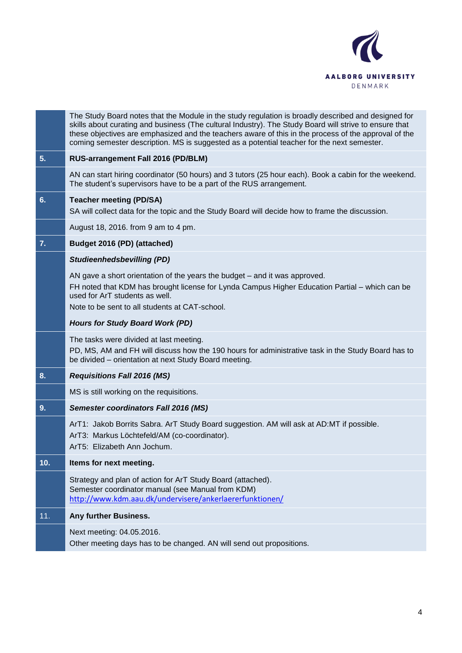

|     | The Study Board notes that the Module in the study regulation is broadly described and designed for<br>skills about curating and business (The cultural Industry). The Study Board will strive to ensure that<br>these objectives are emphasized and the teachers aware of this in the process of the approval of the<br>coming semester description. MS is suggested as a potential teacher for the next semester. |
|-----|---------------------------------------------------------------------------------------------------------------------------------------------------------------------------------------------------------------------------------------------------------------------------------------------------------------------------------------------------------------------------------------------------------------------|
| 5.  | RUS-arrangement Fall 2016 (PD/BLM)                                                                                                                                                                                                                                                                                                                                                                                  |
|     | AN can start hiring coordinator (50 hours) and 3 tutors (25 hour each). Book a cabin for the weekend.<br>The student's supervisors have to be a part of the RUS arrangement.                                                                                                                                                                                                                                        |
| 6.  | <b>Teacher meeting (PD/SA)</b><br>SA will collect data for the topic and the Study Board will decide how to frame the discussion.                                                                                                                                                                                                                                                                                   |
|     | August 18, 2016. from 9 am to 4 pm.                                                                                                                                                                                                                                                                                                                                                                                 |
| 7.  | Budget 2016 (PD) (attached)                                                                                                                                                                                                                                                                                                                                                                                         |
|     | <b>Studieenhedsbevilling (PD)</b>                                                                                                                                                                                                                                                                                                                                                                                   |
|     | AN gave a short orientation of the years the budget – and it was approved.<br>FH noted that KDM has brought license for Lynda Campus Higher Education Partial - which can be<br>used for ArT students as well.<br>Note to be sent to all students at CAT-school.                                                                                                                                                    |
|     | <b>Hours for Study Board Work (PD)</b>                                                                                                                                                                                                                                                                                                                                                                              |
|     | The tasks were divided at last meeting.<br>PD, MS, AM and FH will discuss how the 190 hours for administrative task in the Study Board has to<br>be divided – orientation at next Study Board meeting.                                                                                                                                                                                                              |
| 8.  | <b>Requisitions Fall 2016 (MS)</b>                                                                                                                                                                                                                                                                                                                                                                                  |
|     | MS is still working on the requisitions.                                                                                                                                                                                                                                                                                                                                                                            |
| 9.  | <b>Semester coordinators Fall 2016 (MS)</b>                                                                                                                                                                                                                                                                                                                                                                         |
|     | ArT1: Jakob Borrits Sabra. ArT Study Board suggestion. AM will ask at AD:MT if possible.<br>ArT3: Markus Löchtefeld/AM (co-coordinator).<br>ArT5: Elizabeth Ann Jochum.                                                                                                                                                                                                                                             |
| 10. | Items for next meeting.                                                                                                                                                                                                                                                                                                                                                                                             |
|     | Strategy and plan of action for ArT Study Board (attached).<br>Semester coordinator manual (see Manual from KDM)<br>http://www.kdm.aau.dk/undervisere/ankerlaererfunktionen/                                                                                                                                                                                                                                        |
| 11. | Any further Business.                                                                                                                                                                                                                                                                                                                                                                                               |
|     | Next meeting: 04.05.2016.<br>Other meeting days has to be changed. AN will send out propositions.                                                                                                                                                                                                                                                                                                                   |